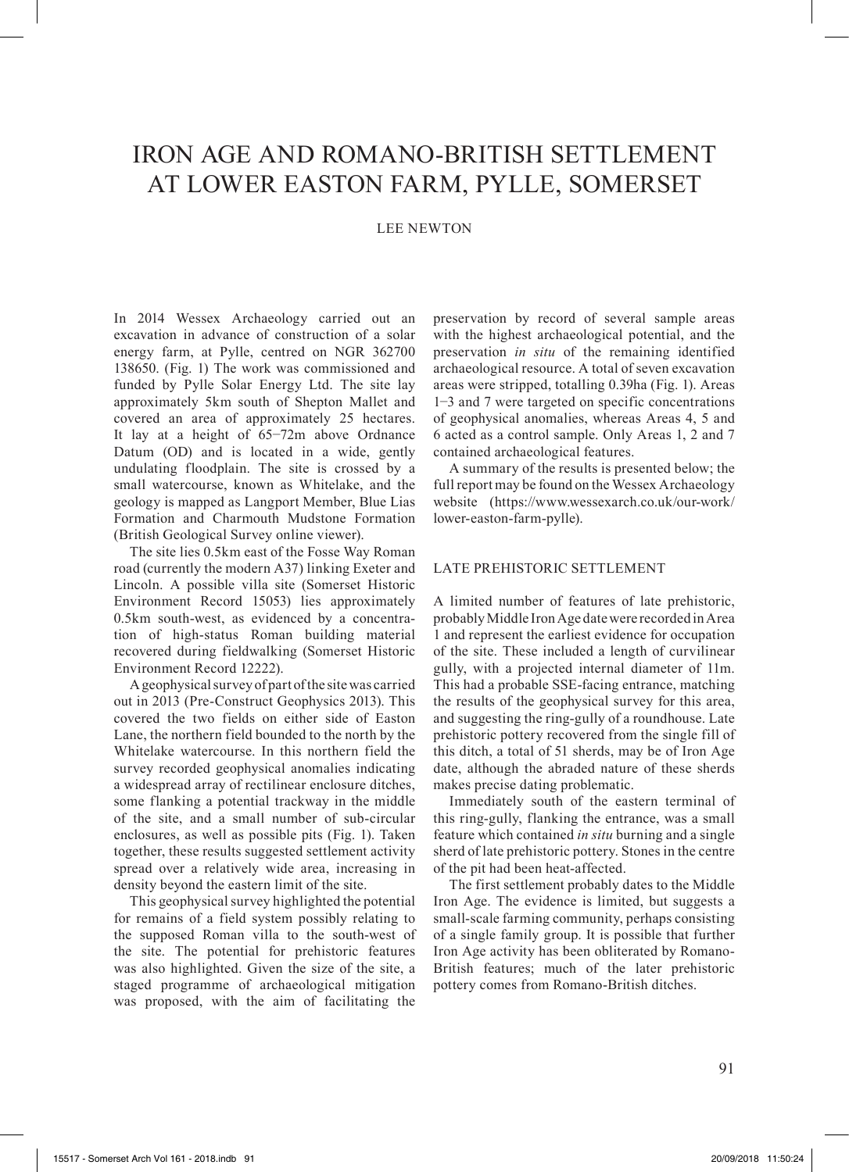# IRON AGE AND ROMANO-BRITISH SETTLEMENT AT LOWER EASTON FARM, PYLLE, SOMERSET

# LEE NEWTON

In 2014 Wessex Archaeology carried out an excavation in advance of construction of a solar energy farm, at Pylle, centred on NGR 362700 138650. (Fig. 1) The work was commissioned and funded by Pylle Solar Energy Ltd. The site lay approximately 5km south of Shepton Mallet and covered an area of approximately 25 hectares. It lay at a height of 65−72m above Ordnance Datum (OD) and is located in a wide, gently undulating floodplain. The site is crossed by a small watercourse, known as Whitelake, and the geology is mapped as Langport Member, Blue Lias Formation and Charmouth Mudstone Formation (British Geological Survey online viewer).

The site lies 0.5km east of the Fosse Way Roman road (currently the modern A37) linking Exeter and Lincoln. A possible villa site (Somerset Historic Environment Record 15053) lies approximately 0.5km south-west, as evidenced by a concentration of high-status Roman building material recovered during fieldwalking (Somerset Historic Environment Record 12222).

A geophysical survey of part of the site was carried out in 2013 (Pre-Construct Geophysics 2013). This covered the two fields on either side of Easton Lane, the northern field bounded to the north by the Whitelake watercourse. In this northern field the survey recorded geophysical anomalies indicating a widespread array of rectilinear enclosure ditches, some flanking a potential trackway in the middle of the site, and a small number of sub-circular enclosures, as well as possible pits (Fig. 1). Taken together, these results suggested settlement activity spread over a relatively wide area, increasing in density beyond the eastern limit of the site.

This geophysical survey highlighted the potential for remains of a field system possibly relating to the supposed Roman villa to the south-west of the site. The potential for prehistoric features was also highlighted. Given the size of the site, a staged programme of archaeological mitigation was proposed, with the aim of facilitating the

preservation by record of several sample areas with the highest archaeological potential, and the preservation *in situ* of the remaining identified archaeological resource. A total of seven excavation areas were stripped, totalling 0.39ha (Fig. 1). Areas 1−3 and 7 were targeted on specific concentrations of geophysical anomalies, whereas Areas 4, 5 and 6 acted as a control sample. Only Areas 1, 2 and 7 contained archaeological features.

A summary of the results is presented below; the full report may be found on the Wessex Archaeology website (https://www.wessexarch.co.uk/our-work/ lower-easton-farm-pylle).

### LATE PREHISTORIC SETTLEMENT

A limited number of features of late prehistoric, probably Middle Iron Age date were recorded in Area 1 and represent the earliest evidence for occupation of the site. These included a length of curvilinear gully, with a projected internal diameter of 11m. This had a probable SSE-facing entrance, matching the results of the geophysical survey for this area, and suggesting the ring-gully of a roundhouse. Late prehistoric pottery recovered from the single fill of this ditch, a total of 51 sherds, may be of Iron Age date, although the abraded nature of these sherds makes precise dating problematic.

Immediately south of the eastern terminal of this ring-gully, flanking the entrance, was a small feature which contained *in situ* burning and a single sherd of late prehistoric pottery. Stones in the centre of the pit had been heat-affected.

The first settlement probably dates to the Middle Iron Age. The evidence is limited, but suggests a small-scale farming community, perhaps consisting of a single family group. It is possible that further Iron Age activity has been obliterated by Romano-British features; much of the later prehistoric pottery comes from Romano-British ditches.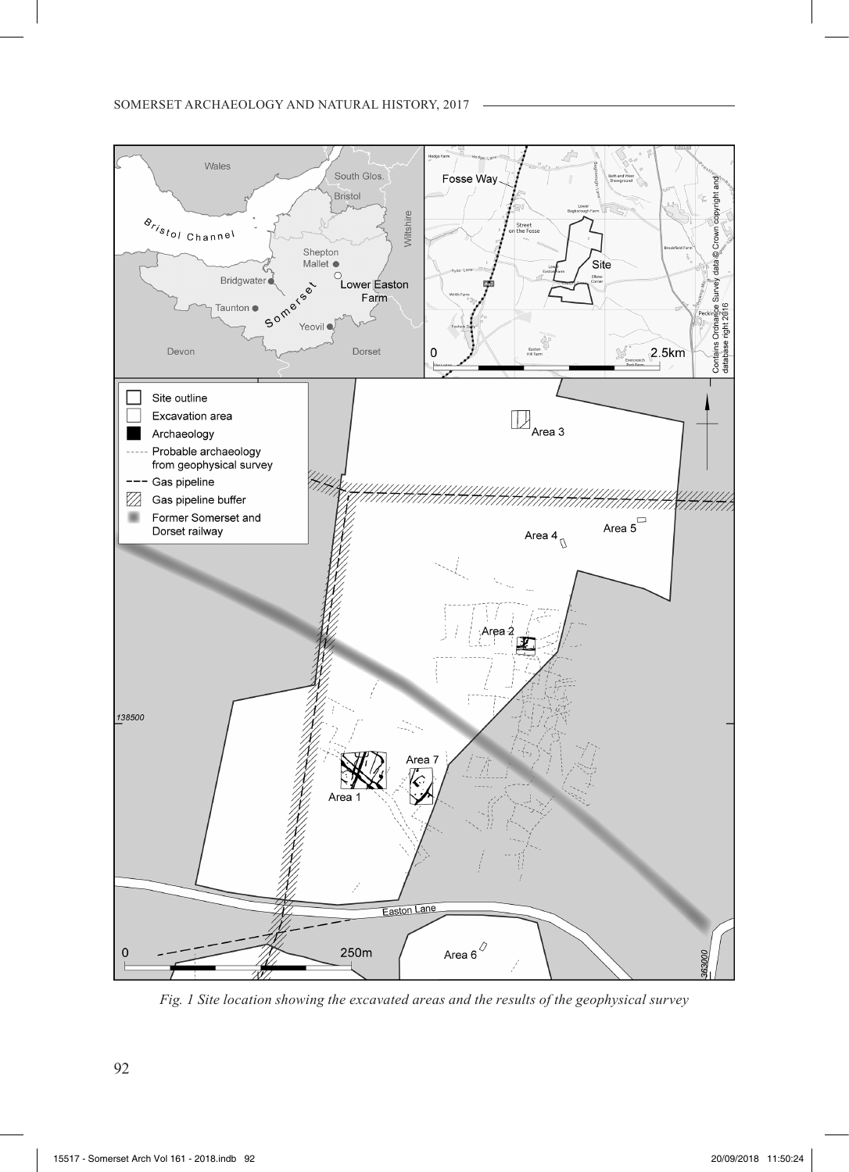

*Fig. 1 Site location showing the excavated areas and the results of the geophysical survey*

92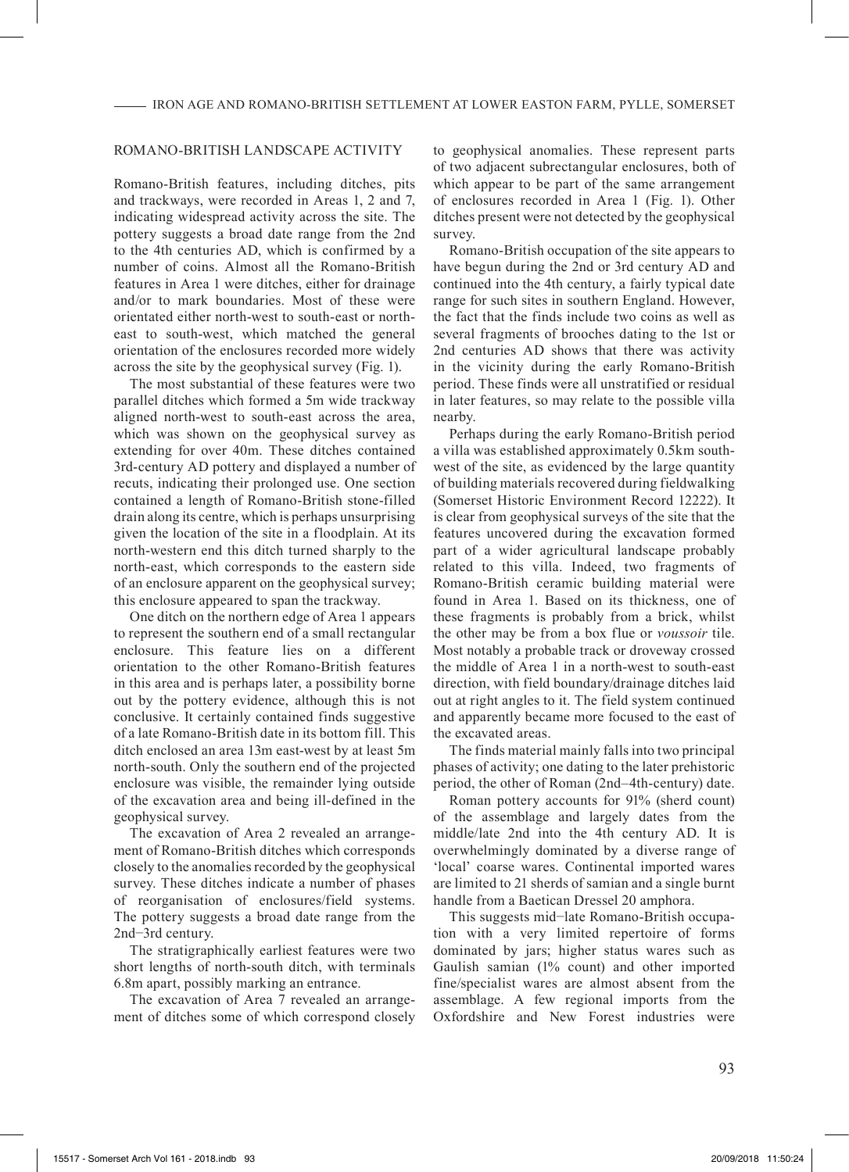## ROMANO-BRITISH LANDSCAPE ACTIVITY

Romano-British features, including ditches, pits and trackways, were recorded in Areas 1, 2 and 7, indicating widespread activity across the site. The pottery suggests a broad date range from the 2nd to the 4th centuries AD, which is confirmed by a number of coins. Almost all the Romano-British features in Area 1 were ditches, either for drainage and/or to mark boundaries. Most of these were orientated either north-west to south-east or northeast to south-west, which matched the general orientation of the enclosures recorded more widely across the site by the geophysical survey (Fig. 1).

The most substantial of these features were two parallel ditches which formed a 5m wide trackway aligned north-west to south-east across the area, which was shown on the geophysical survey as extending for over 40m. These ditches contained 3rd-century AD pottery and displayed a number of recuts, indicating their prolonged use. One section contained a length of Romano-British stone-filled drain along its centre, which is perhaps unsurprising given the location of the site in a floodplain. At its north-western end this ditch turned sharply to the north-east, which corresponds to the eastern side of an enclosure apparent on the geophysical survey; this enclosure appeared to span the trackway.

One ditch on the northern edge of Area 1 appears to represent the southern end of a small rectangular enclosure. This feature lies on a different orientation to the other Romano-British features in this area and is perhaps later, a possibility borne out by the pottery evidence, although this is not conclusive. It certainly contained finds suggestive of a late Romano-British date in its bottom fill. This ditch enclosed an area 13m east-west by at least 5m north-south. Only the southern end of the projected enclosure was visible, the remainder lying outside of the excavation area and being ill-defined in the geophysical survey.

The excavation of Area 2 revealed an arrangement of Romano-British ditches which corresponds closely to the anomalies recorded by the geophysical survey. These ditches indicate a number of phases of reorganisation of enclosures/field systems. The pottery suggests a broad date range from the 2nd−3rd century.

The stratigraphically earliest features were two short lengths of north-south ditch, with terminals 6.8m apart, possibly marking an entrance.

The excavation of Area 7 revealed an arrangement of ditches some of which correspond closely to geophysical anomalies. These represent parts of two adjacent subrectangular enclosures, both of which appear to be part of the same arrangement of enclosures recorded in Area 1 (Fig. 1). Other ditches present were not detected by the geophysical survey.

Romano-British occupation of the site appears to have begun during the 2nd or 3rd century AD and continued into the 4th century, a fairly typical date range for such sites in southern England. However, the fact that the finds include two coins as well as several fragments of brooches dating to the 1st or 2nd centuries AD shows that there was activity in the vicinity during the early Romano-British period. These finds were all unstratified or residual in later features, so may relate to the possible villa nearby.

Perhaps during the early Romano-British period a villa was established approximately 0.5km southwest of the site, as evidenced by the large quantity of building materials recovered during fieldwalking (Somerset Historic Environment Record 12222). It is clear from geophysical surveys of the site that the features uncovered during the excavation formed part of a wider agricultural landscape probably related to this villa. Indeed, two fragments of Romano-British ceramic building material were found in Area 1. Based on its thickness, one of these fragments is probably from a brick, whilst the other may be from a box flue or *voussoir* tile. Most notably a probable track or droveway crossed the middle of Area 1 in a north-west to south-east direction, with field boundary/drainage ditches laid out at right angles to it. The field system continued and apparently became more focused to the east of the excavated areas.

The finds material mainly falls into two principal phases of activity; one dating to the later prehistoric period, the other of Roman (2nd–4th-century) date.

Roman pottery accounts for 91% (sherd count) of the assemblage and largely dates from the middle/late 2nd into the 4th century AD. It is overwhelmingly dominated by a diverse range of 'local' coarse wares. Continental imported wares are limited to 21 sherds of samian and a single burnt handle from a Baetican Dressel 20 amphora.

This suggests mid−late Romano-British occupation with a very limited repertoire of forms dominated by jars; higher status wares such as Gaulish samian (1% count) and other imported fine/specialist wares are almost absent from the assemblage. A few regional imports from the Oxfordshire and New Forest industries were